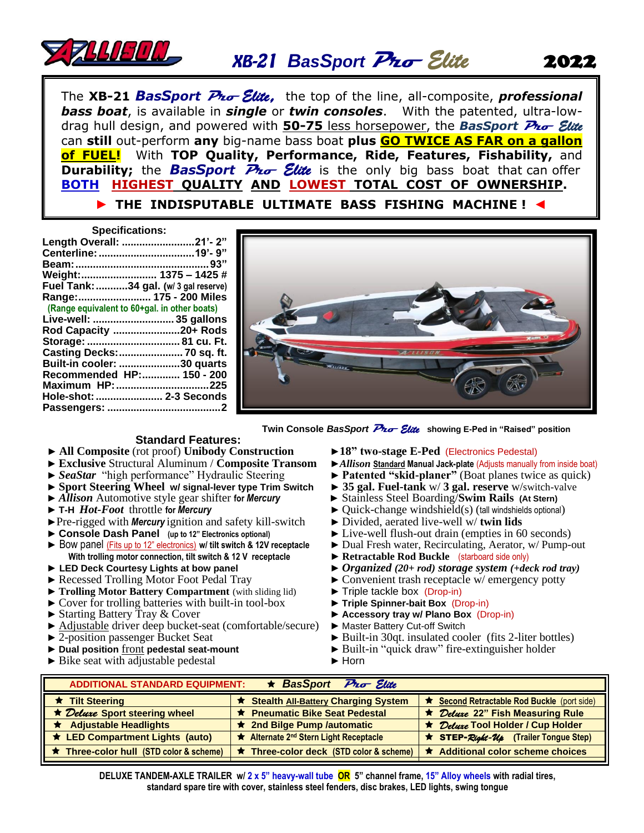

# *BasSport* **Pro** *Elite*

The **XB-21** *<sup>B</sup>asSport* **Pro** *Elite,* the top of the line, all-composite, *professional bass boat*, is available in *single* or *twin consoles*. With the patented, ultra-lowdrag hull design, and powered with **50-75** less horsepower, the *BasSport* **Pro** *Elite*  can **still** out-perform **any** big-name bass boat **plus GO TWICE AS FAR on a gallon of FUEL!** With **TOP Quality, Performance, Ride, Features, Fishability,** and **Durability;** the **BasSport**  $\overline{P}$ *ro Elite* is the only big bass boat that can offer **BOTH HIGHEST QUALITY AND LOWEST TOTAL COST OF OWNERSHIP.**

## **► THE INDISPUTABLE ULTIMATE BASS FISHING MACHINE !** ◄

| <b>Specifications:</b>                       |  |
|----------------------------------------------|--|
| Length Overall: 21'-2"                       |  |
|                                              |  |
|                                              |  |
| Weight:  1375 - 1425 #                       |  |
| Fuel Tank: 34 gal. (w/ 3 gal reserve)        |  |
| Range:  175 - 200 Miles                      |  |
| (Range equivalent to 60+gal. in other boats) |  |
| Live-well:  35 gallons                       |  |
| Rod Capacity 20+ Rods                        |  |
| Storage:  81 cu. Ft.                         |  |
| Casting Decks:  70 sq. ft.                   |  |
| Built-in cooler: 30 quarts                   |  |
| Recommended HP: 150 - 200                    |  |
| Maximum HP: 225                              |  |
| Hole-shot:  2-3 Seconds                      |  |
|                                              |  |



 **Twin Console BasSport Pro Elite** showing E-Ped in "Raised" position

### **Standard Features:**

- ► All Composite (rot proof) Unibody Construction ► 18" two-stage E-Ped (Electronics Pedestal)<br>► Exclusive Structural Aluminum / Composite Transom ► Allison Standard Manual Jack-plate (Adjusts manually from inside boat)
- ► **Exclusive** Structural Aluminum / **Composite Transom**<br>► *SeaStar* "high performance" Hydraulic Steering
- 
- ► **Sport Steering Wheel w/ signal-lever type Trim Switch** ► **35 gal. Fuel-tank** w/ **3 gal. reserve** w/switch-valve
- 
- 
- ►Pre-rigged with *Mercury* ignition and safety kill-switch ► Divided, aerated live-well w/ **twin lids**
- 
- ► Bow panel (Fits up to 12" electronics) **w/ tilt switch & 12V receptacle With trolling motor connection, tilt switch & 12 V receptacle**
- 
- ► Recessed Trolling Motor Foot Pedal Tray
- ► **Trolling Motor Battery Compartment** (with sliding lid)
- ► Cover for trolling batteries with built-in tool-box<br>► Starting Battery Tray & Cover
- 
- ► Adjustable driver deep bucket-seat (comfortable/secure)
- 
- 
- ► Bike seat with adjustable pedestal ► Horn
- 
- 
- ► **Patented "skid-planer"** (Boat planes twice as quick)
- 
- ► Stainless Steel Boarding/**Swim Rails** (At Stern)
- ► **T-H** *Hot-Foot* throttle **for** *Mercury* ► Quick-change windshield(s) (tall windshields optional)
	-
- ► **Console Dash Panel (up to 12" Electronics optional)** ► Live-well flush-out drain (empties in 60 seconds)
	- ► Dual Fresh water, Recirculating, Aerator, w/ Pump-out
	- ► **Retractable Rod Buckle** (starboard side only)
- ► **LED Deck Courtesy Lights at bow panel** ► *Organized (20+ rod) storage system (+deck rod tray)*
	- $\triangleright$  Convenient trash receptacle w/ emergency potty
	-
	- ► Triple tackle box (Drop-in)<br>► Triple Spinner-bait Box (Drop-in)
	- ► Accessory tray w/ Plano Box (Drop-in)<br>► Master Battery Cut-off Switch
	-
- ► 2-position passenger Bucket Seat ► Built-in 30qt. insulated cooler (fits 2-liter bottles)
- ► **Dual position** front **pedestal seat-mount** ► Built-in "quick draw" fire-extinguisher holder
	-

| $\star$ BasSport Pro Elite<br><b>ADDITIONAL STANDARD EQUIPMENT:</b> |                                                    |                                                                                |  |  |  |  |  |  |
|---------------------------------------------------------------------|----------------------------------------------------|--------------------------------------------------------------------------------|--|--|--|--|--|--|
| $\star$ Tilt Steering                                               | <b>★ Stealth All-Battery Charging System</b>       | <u>★ Second Retractable Rod Buckle (port side)</u>                             |  |  |  |  |  |  |
| ★ Deluxe Sport steering wheel                                       | ★ Pneumatic Bike Seat Pedestal                     | ★ Deluxe 22" Fish Measuring Rule                                               |  |  |  |  |  |  |
| $\star$ Adjustable Headlights                                       | ★ 2nd Bilge Pump /automatic                        | ★ Deluxe Tool Holder / Cup Holder                                              |  |  |  |  |  |  |
| <b>★ LED Compartment Lights (auto)</b>                              | ★ Alternate 2 <sup>nd</sup> Stern Light Receptacle | <b>*</b> STEP- $\mathcal{R}$ ight- $\mathcal{U}_{\beta}$ (Trailer Tongue Step) |  |  |  |  |  |  |
| $\star$ Three-color hull (STD color & scheme)                       | $\star$ Three-color deck (STD color & scheme)      | ★ Additional color scheme choices                                              |  |  |  |  |  |  |

**DELUXE TANDEM-AXLE TRAILER w/ 2 x 5" heavy-wall tube OR 5" channel frame, 15" Alloy wheels with radial tires, standard spare tire with cover, stainless steel fenders, disc brakes, LED lights, swing tongue**

## 2022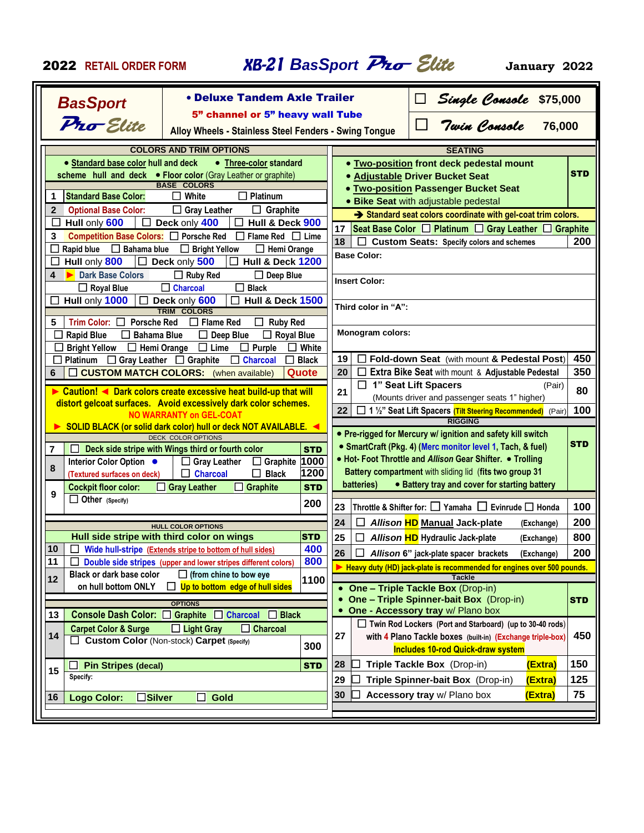<sup>2022</sup> **RETAIL ORDER FORM** *BasSport* **Pro** *Elite* **January 2022**

| <b>BasSport</b>                                              | • Deluxe Tandem Axle Trailer                                                                  |                    |                                               | Single Console \$75,000<br>-<br>-<br>Twin Console 76,000<br>$\overline{\phantom{a}}$ |                |            |  |
|--------------------------------------------------------------|-----------------------------------------------------------------------------------------------|--------------------|-----------------------------------------------|--------------------------------------------------------------------------------------|----------------|------------|--|
|                                                              | 5" channel or 5" heavy wall Tube                                                              |                    |                                               |                                                                                      |                |            |  |
| Pro Elite                                                    | Alloy Wheels - Stainless Steel Fenders - Swing Tongue                                         |                    |                                               |                                                                                      |                |            |  |
|                                                              | <b>COLORS AND TRIM OPTIONS</b>                                                                |                    |                                               | <b>SEATING</b>                                                                       |                |            |  |
| • Standard base color hull and deck                          | • Three-color standard                                                                        |                    |                                               | . Two-position front deck pedestal mount                                             |                |            |  |
|                                                              | scheme hull and deck . Floor color (Gray Leather or graphite)                                 |                    |                                               | <b>. Adjustable Driver Bucket Seat</b>                                               |                | <b>STD</b> |  |
| <b>Standard Base Color:</b>                                  | <b>BASE COLORS</b><br>White<br>Platinum<br>l 1<br>$\mathsf{I}$                                |                    |                                               | <b>. Two-position Passenger Bucket Seat</b>                                          |                |            |  |
| 1<br>$\overline{2}$<br><b>Optional Base Color:</b>           |                                                                                               |                    |                                               | · Bike Seat with adjustable pedestal                                                 |                |            |  |
| Hull only 600<br>$\Box$<br>ப                                 | $\Box$ Graphite<br>$\Box$ Gray Leather<br>Deck only 400<br>Hull & Deck 900                    |                    |                                               | Standard seat colors coordinate with gel-coat trim colors.                           |                |            |  |
| Competition Base Colors: □ Porsche Red<br>3                  | $\Box$ Flame Red $\Box$ Lime                                                                  |                    | 17                                            | Seat Base Color □ Platinum □ Gray Leather □ Graphite                                 |                |            |  |
| $\Box$ Bahama blue<br>Rapid blue<br>$\overline{\phantom{a}}$ | <b>Bright Yellow</b><br>$\Box$ Hemi Orange<br>$\Box$                                          |                    | 18                                            | Custom Seats: Specify colors and schemes                                             |                | 200        |  |
| Hull only 800<br>$\Box$                                      | Hull & Deck 1200<br>Deck only 500                                                             |                    | <b>Base Color:</b>                            |                                                                                      |                |            |  |
| <b>Dark Base Colors</b><br>$\blacktriangleright$<br>4        | $\Box$ Ruby Red<br>$\Box$ Deep Blue                                                           |                    |                                               |                                                                                      |                |            |  |
| $\Box$ Royal Blue                                            | $\Box$ Charcoal<br>$\Box$ Black                                                               |                    | <b>Insert Color:</b>                          |                                                                                      |                |            |  |
| Hull only 1000                                               | Deck only 600<br><b>Hull &amp; Deck 1500</b>                                                  |                    |                                               |                                                                                      |                |            |  |
|                                                              | <b>TRIM COLORS</b>                                                                            |                    | Third color in "A":                           |                                                                                      |                |            |  |
| <b>Porsche Red</b><br>5<br>Trim Color: $\square$             | $\Box$ Flame Red<br>$\Box$<br><b>Ruby Red</b>                                                 |                    |                                               |                                                                                      |                |            |  |
| <b>Rapid Blue</b><br>$\Box$ Bahama Blue                      | $\Box$ Deep Blue<br>$\Box$ Royal Blue                                                         |                    | <b>Monogram colors:</b>                       |                                                                                      |                |            |  |
| <b>Bright Yellow</b><br>$\Box$ Hemi Orange                   | $\Box$ Lime<br>$\Box$ Purple                                                                  | White              |                                               |                                                                                      |                |            |  |
| Platinum                                                     | $\Box$ Gray Leather $\Box$ Graphite<br>$\Box$ Charcoal<br>П                                   | <b>Black</b>       | 19                                            | Fold-down Seat (with mount & Pedestal Post)                                          |                | 450        |  |
| 6                                                            | <b>CUSTOM MATCH COLORS:</b> (when available)                                                  | Quote              | 20                                            | Extra Bike Seat with mount & Adjustable Pedestal                                     |                | 350        |  |
|                                                              | Caution! ◀ Dark colors create excessive heat build-up that will                               |                    | 21                                            | $\Box$ 1" Seat Lift Spacers                                                          | (Pair)         | 80         |  |
|                                                              | distort gelcoat surfaces. Avoid excessively dark color schemes.                               |                    | (Mounts driver and passenger seats 1" higher) |                                                                                      |                |            |  |
| <b>NO WARRANTY on GEL-COAT</b>                               |                                                                                               |                    | 22                                            | □ 1 1/2" Seat Lift Spacers (Tilt Steering Recommended) (Pair)<br><b>RIGGING</b>      |                | 100        |  |
|                                                              | SOLID BLACK (or solid dark color) hull or deck NOT AVAILABLE. ◀                               |                    |                                               | • Pre-rigged for Mercury w/ ignition and safety kill switch                          |                |            |  |
|                                                              | <b>DECK COLOR OPTIONS</b>                                                                     |                    |                                               | • SmartCraft (Pkg. 4) (Merc monitor level 1, Tach, & fuel)                           |                | <b>STD</b> |  |
| 7                                                            | Deck side stripe with Wings third or fourth color                                             | <b>STD</b><br>1000 |                                               | • Hot- Foot Throttle and Allison Gear Shifter. • Trolling                            |                |            |  |
| Interior Color Option •<br>8<br>(Textured surfaces on deck)  | $\Box$ Gray Leather<br>$\Box$ Graphite<br><b>Black</b><br>$\Box$<br><b>Charcoal</b><br>$\Box$ | 1200               |                                               | Battery compartment with sliding lid (fits two group 31                              |                |            |  |
| <b>Cockpit floor color:</b>                                  | $\Box$ Graphite<br>$\Box$ Gray Leather                                                        | <b>STD</b>         | batteries)                                    | • Battery tray and cover for starting battery                                        |                |            |  |
| 9<br>$\Box$ Other (Specify)                                  |                                                                                               |                    |                                               |                                                                                      |                |            |  |
|                                                              |                                                                                               | 200                | 23                                            | Throttle & Shifter for: $\Box$ Yamaha $\Box$ Evinrude $\Box$ Honda                   |                | 100        |  |
|                                                              | <b>HULL COLOR OPTIONS</b>                                                                     |                    | 24<br>$\Box$                                  | Allison HD Manual Jack-plate                                                         | (Exchange)     | 200        |  |
|                                                              | Hull side stripe with third color on wings                                                    | <b>STD</b>         | 25<br>$\Box$                                  | Allison HD Hydraulic Jack-plate                                                      | (Exchange)     | 800        |  |
| 10<br>$\Box$                                                 | Wide hull-stripe (Extends stripe to bottom of hull sides)                                     | 400                | 26<br>  □                                     | Allison 6" jack-plate spacer brackets                                                | (Exchange) 200 |            |  |
| 11                                                           | Double side stripes (upper and lower stripes different colors)                                | 800                |                                               | Heavy duty (HD) jack-plate is recommended for engines over 500 pounds.               |                |            |  |
| <b>Black or dark base color</b><br>12                        | $\Box$ (from chine to bow eye                                                                 | 1100               |                                               | <b>Tackle</b>                                                                        |                |            |  |
| on hull bottom ONLY                                          | $\Box$ Up to bottom edge of hull sides                                                        |                    | $\bullet$                                     | One - Triple Tackle Box (Drop-in)                                                    |                |            |  |
|                                                              | <b>OPTIONS</b>                                                                                |                    |                                               | <b>One - Triple Spinner-bait Box</b> (Drop-in)                                       |                | <b>STD</b> |  |
| 13<br>Console Dash Color: C Graphite                         | $\Box$ Charcoal<br>$\Box$ Black                                                               |                    |                                               | One - Accessory tray w/ Plano box                                                    |                |            |  |
| <b>Carpet Color &amp; Surge</b>                              | $\Box$ Light Gray<br>$\Box$ Charcoal                                                          |                    |                                               | $\Box$ Twin Rod Lockers (Port and Starboard) (up to 30-40 rods)                      |                |            |  |
| 14<br><b>Custom Color</b> (Non-stock) Carpet (Specify)       |                                                                                               | 300                | 27                                            | with 4 Plano Tackle boxes (built-in) (Exchange triple-box)                           |                | 450        |  |
|                                                              |                                                                                               |                    |                                               | <b>Includes 10-rod Quick-draw system</b>                                             |                |            |  |
| <b>Pin Stripes (decal)</b><br>15                             |                                                                                               | <b>STD</b>         | 28                                            | Triple Tackle Box (Drop-in)                                                          | (Extra)        | 150        |  |
| Specify:                                                     |                                                                                               |                    | 29                                            | Triple Spinner-bait Box (Drop-in)                                                    | (Extra)        | 125        |  |
| $\square$ Silver<br>16<br><b>Logo Color:</b>                 | Gold<br>$\mathsf{I}$                                                                          |                    | 30                                            | Accessory tray w/ Plano box                                                          | (Extra)        | 75         |  |
|                                                              |                                                                                               |                    |                                               |                                                                                      |                |            |  |
|                                                              |                                                                                               |                    |                                               |                                                                                      |                |            |  |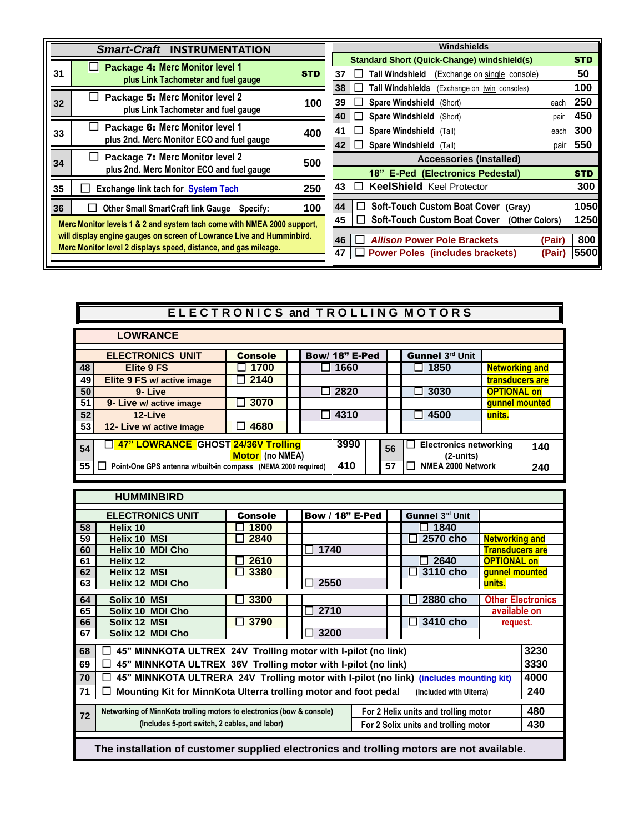| <b>Smart-Craft INSTRUMENTATION</b>                                    |                                                                              |            |    |  |        |                                  | Windshields                                        |        |            |
|-----------------------------------------------------------------------|------------------------------------------------------------------------------|------------|----|--|--------|----------------------------------|----------------------------------------------------|--------|------------|
|                                                                       |                                                                              |            |    |  |        |                                  | <b>Standard Short (Quick-Change) windshield(s)</b> |        | <b>STD</b> |
| 31                                                                    | Package 4: Merc Monitor level 1<br>ΙI<br>plus Link Tachometer and fuel gauge | <b>STD</b> | 37 |  | $\Box$ | <b>Tall Windshield</b>           | (Exchange on single console)                       |        | 50         |
|                                                                       |                                                                              |            | 38 |  |        |                                  | Tall Windshields (Exchange on twin consoles)       |        | 100        |
| 32                                                                    | Package 5: Merc Monitor level 2<br>plus Link Tachometer and fuel gauge       | 100        | 39 |  | $\Box$ | Spare Windshield (Short)         |                                                    | each   | 250        |
|                                                                       |                                                                              |            | 40 |  |        | <b>Spare Windshield</b>          | (Short)                                            | pair   | 450        |
| 33                                                                    | Package 6: Merc Monitor level 1                                              | 400        | 41 |  |        | Spare Windshield (Tall)          |                                                    | each   | 300        |
|                                                                       | plus 2nd. Merc Monitor ECO and fuel gauge                                    |            | 42 |  |        | Spare Windshield (Tall)          |                                                    | pair   | 550        |
| 34                                                                    | Package 7: Merc Monitor level 2<br>ΙI                                        | 500        |    |  |        |                                  | <b>Accessories (Installed)</b>                     |        |            |
|                                                                       | plus 2nd. Merc Monitor ECO and fuel gauge                                    |            |    |  |        |                                  | 18" E-Ped (Electronics Pedestal)                   |        | <b>STD</b> |
| 35                                                                    | Exchange link tach for System Tach<br>$\Box$                                 | 250        | 43 |  |        | <b>KeelShield Keel Protector</b> |                                                    |        | 300        |
| 36                                                                    | <b>Other Small SmartCraft link Gauge</b><br>Specify:<br>$\mathsf{L}$         | 100        | 44 |  |        |                                  | Soft-Touch Custom Boat Cover (Gray)                |        | 1050       |
|                                                                       |                                                                              |            | 45 |  |        |                                  | Soft-Touch Custom Boat Cover (Other Colors)        |        | 1250       |
|                                                                       | Merc Monitor levels 1 & 2 and system tach come with NMEA 2000 support,       |            |    |  |        |                                  |                                                    |        |            |
| will display engine gauges on screen of Lowrance Live and Humminbird. |                                                                              |            | 46 |  |        |                                  | <b>Allison Power Pole Brackets</b>                 | (Pair) | 800        |
|                                                                       | Merc Monitor level 2 displays speed, distance, and gas mileage.              |            | 47 |  |        |                                  | <b>Power Poles (includes brackets)</b>             | (Pair  | 5500       |

|    | ELECTRONICS and TROLLING MOTORS                               |                        |                                              |                      |    |                                                  |                       |     |  |  |
|----|---------------------------------------------------------------|------------------------|----------------------------------------------|----------------------|----|--------------------------------------------------|-----------------------|-----|--|--|
|    | <b>LOWRANCE</b>                                               |                        |                                              |                      |    |                                                  |                       |     |  |  |
|    | <b>ELECTRONICS UNIT</b>                                       | <b>Console</b>         |                                              | Bow/ 18" E-Ped       |    | <b>Gunnel 3rd Unit</b>                           |                       |     |  |  |
| 48 | Elite 9 FS                                                    | 1700                   |                                              | 1660<br>$\mathsf{L}$ |    | 1850<br>l 1                                      | <b>Networking and</b> |     |  |  |
| 49 | Elite 9 FS w/ active image                                    | 2140                   |                                              |                      |    |                                                  | transducers are       |     |  |  |
| 50 | 9-Live                                                        |                        | 2820<br>3030<br>$\mathbf{I}$<br>$\mathsf{I}$ |                      |    |                                                  | <b>OPTIONAL on</b>    |     |  |  |
| 51 | 9- Live w/ active image                                       | 3070<br>$\blacksquare$ |                                              |                      |    |                                                  | gunnel mounted        |     |  |  |
| 52 | 12-Live                                                       |                        |                                              | 4310                 |    | 4500                                             | units.                |     |  |  |
| 53 | 12- Live w/ active image                                      | 4680                   |                                              |                      |    |                                                  |                       |     |  |  |
|    | 47" LOWRANCE GHOST 24/36V Trolling                            |                        |                                              | 3990                 |    |                                                  |                       |     |  |  |
| 54 |                                                               | Motor (no NMEA)        |                                              |                      | 56 | <b>Electronics networking</b><br>$(2$ -units $)$ |                       | 140 |  |  |
| 55 | Point-One GPS antenna w/built-in compass (NEMA 2000 required) |                        |                                              | 410                  | 57 | NMEA 2000 Network                                |                       | 240 |  |  |

|    | <b>HUMMINBIRD</b>                                                                        |         |  |                        |  |  |                                      |                        |                          |
|----|------------------------------------------------------------------------------------------|---------|--|------------------------|--|--|--------------------------------------|------------------------|--------------------------|
|    |                                                                                          |         |  |                        |  |  |                                      |                        |                          |
|    | <b>ELECTRONICS UNIT</b>                                                                  | Console |  | <b>Bow / 18" E-Ped</b> |  |  | Gunnel 3rd Unit                      |                        |                          |
| 58 | Helix 10                                                                                 | 1800    |  |                        |  |  | $\Box$ 1840                          |                        |                          |
| 59 | <b>Helix 10 MSI</b>                                                                      | 2840    |  |                        |  |  | 2570 cho                             | <b>Networking and</b>  |                          |
| 60 | <b>Helix 10 MDI Cho</b>                                                                  |         |  | 1740                   |  |  |                                      | <b>Transducers are</b> |                          |
| 61 | Helix 12                                                                                 | 2610    |  |                        |  |  | 2640<br>$\mathsf{L}$                 | <b>OPTIONAL on</b>     |                          |
| 62 | Helix 12 MSI                                                                             | 3380    |  |                        |  |  | 3110 cho                             | gunnel mounted         |                          |
| 63 | Helix 12 MDI Cho                                                                         |         |  | 2550                   |  |  |                                      | units.                 |                          |
| 64 | Solix 10 MSI                                                                             | 3300    |  |                        |  |  | 2880 cho                             |                        | <b>Other Electronics</b> |
| 65 | Solix 10 MDI Cho                                                                         |         |  | 2710                   |  |  |                                      | available on           |                          |
| 66 | Solix 12 MSI                                                                             | 3790    |  |                        |  |  | 3410 cho                             | request.               |                          |
| 67 | Solix 12 MDI Cho                                                                         |         |  | 3200                   |  |  |                                      |                        |                          |
| 68 | 45" MINNKOTA ULTREX 24V Trolling motor with I-pilot (no link)                            |         |  |                        |  |  |                                      |                        | 3230                     |
| 69 | 45" MINNKOTA ULTREX 36V Trolling motor with I-pilot (no link)<br>$\Box$                  |         |  |                        |  |  |                                      |                        | 3330                     |
| 70 | 45" MINNKOTA ULTRERA 24V Trolling motor with I-pilot (no link)<br>$\mathbf{I}$           |         |  |                        |  |  | (includes mounting kit)              |                        | 4000                     |
|    |                                                                                          |         |  |                        |  |  |                                      |                        |                          |
| 71 | Mounting Kit for MinnKota Ulterra trolling motor and foot pedal                          |         |  |                        |  |  | (Included with Ulterra)              |                        | 240                      |
|    | Networking of MinnKota trolling motors to electronics (bow & console)                    |         |  |                        |  |  | For 2 Helix units and trolling motor |                        | 480                      |
| 72 | (Includes 5-port switch, 2 cables, and labor)                                            |         |  |                        |  |  | For 2 Solix units and trolling motor |                        | 430                      |
|    |                                                                                          |         |  |                        |  |  |                                      |                        |                          |
|    |                                                                                          |         |  |                        |  |  |                                      |                        |                          |
|    | The installation of customer supplied electronics and trolling motors are not available. |         |  |                        |  |  |                                      |                        |                          |